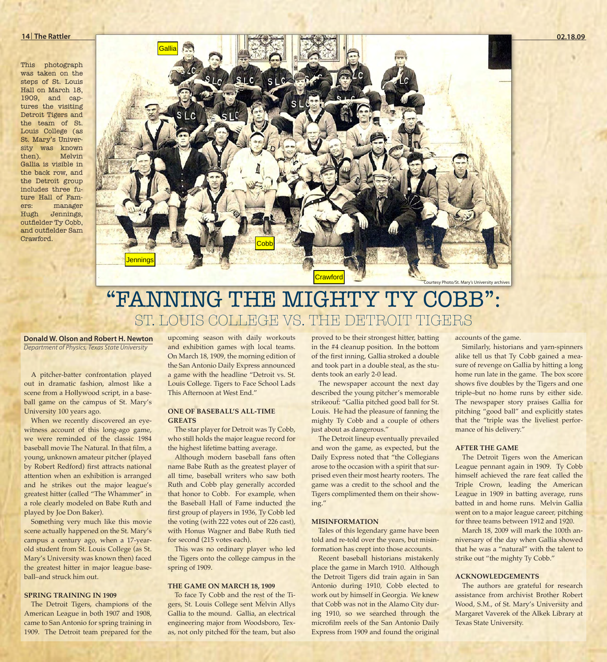This photograph was taken on the steps of St. Louis Hall on March 18, 1909, and captures the visiting Detroit Tigers and the team of St. Louis College (as St. Mary's University was known then). Melvin Gallia is visible in the back row, and the Detroit group includes three future Hall of Famers: manager Hugh Jennings, outfielder Ty Cobb, and outfielder Sam Crawford.



# "FANNING THE MIGHTY TY COBB": ST. LOUIS COLLEGE VS. THE DETROIT TIGERS

**Donald W. Olson and Robert H. Newton** *Department of Physics, Texas State University*

A pitcher-batter confrontation played out in dramatic fashion, almost like a scene from a Hollywood script, in a baseball game on the campus of St. Mary's University 100 years ago.

When we recently discovered an eyewitness account of this long-ago game, we were reminded of the classic 1984 baseball movie The Natural. In that film, a young, unknown amateur pitcher (played by Robert Redford) first attracts national attention when an exhibition is arranged and he strikes out the major league's greatest hitter (called "The Whammer" in a role clearly modeled on Babe Ruth and played by Joe Don Baker).

Something very much like this movie scene actually happened on the St. Mary's campus a century ago, when a 17-yearold student from St. Louis College (as St. Mary's University was known then) faced the greatest hitter in major league baseball–and struck him out.

#### **SPRING TRAINING IN 1909**

The Detroit Tigers, champions of the American League in both 1907 and 1908, came to San Antonio for spring training in 1909. The Detroit team prepared for the

upcoming season with daily workouts and exhibition games with local teams. On March 18, 1909, the morning edition of the San Antonio Daily Express announced a game with the headline "Detroit vs. St. Louis College. Tigers to Face School Lads This Afternoon at West End."

#### **ONE OF BASEBALL'S ALL-TIME GREATS**

The star player for Detroit was Ty Cobb, who still holds the major league record for the highest lifetime batting average.

Although modern baseball fans often name Babe Ruth as the greatest player of all time, baseball writers who saw both Ruth and Cobb play generally accorded that honor to Cobb. For example, when the Baseball Hall of Fame inducted the first group of players in 1936, Ty Cobb led the voting (with 222 votes out of 226 cast), with Honus Wagner and Babe Ruth tied for second (215 votes each).

This was no ordinary player who led the Tigers onto the college campus in the spring of 1909.

#### **THE GAME ON MARCH 18, 1909**

To face Ty Cobb and the rest of the Tigers, St. Louis College sent Melvin Allys Gallia to the mound. Gallia, an electrical engineering major from Woodsboro, Texas, not only pitched for the team, but also

proved to be their strongest hitter, batting in the #4 cleanup position. In the bottom of the first inning, Gallia stroked a double and took part in a double steal, as the students took an early 2-0 lead.

The newspaper account the next day described the young pitcher's memorable strikeout: "Gallia pitched good ball for St. Louis. He had the pleasure of fanning the mighty Ty Cobb and a couple of others just about as dangerous."

The Detroit lineup eventually prevailed and won the game, as expected, but the Daily Express noted that "the Collegians arose to the occasion with a spirit that surprised even their most hearty rooters. The game was a credit to the school and the Tigers complimented them on their showing."

#### **MISINFORMATION**

Tales of this legendary game have been told and re-told over the years, but misinformation has crept into those accounts.

Recent baseball historians mistakenly place the game in March 1910. Although the Detroit Tigers did train again in San Antonio during 1910, Cobb elected to work out by himself in Georgia. We knew that Cobb was not in the Alamo City during 1910, so we searched through the microfilm reels of the San Antonio Daily Express from 1909 and found the original

accounts of the game.

Similarly, historians and yarn-spinners alike tell us that Ty Cobb gained a measure of revenge on Gallia by hitting a long home run late in the game. The box score shows five doubles by the Tigers and one triple–but no home runs by either side. The newspaper story praises Gallia for pitching "good ball" and explicitly states that the "triple was the liveliest performance of his delivery."

### **AFTER THE GAME**

The Detroit Tigers won the American League pennant again in 1909. Ty Cobb himself achieved the rare feat called the Triple Crown, leading the American League in 1909 in batting average, runs batted in and home runs. Melvin Gallia went on to a major league career, pitching for three teams between 1912 and 1920.

March 18, 2009 will mark the 100th anniversary of the day when Gallia showed that he was a "natural" with the talent to strike out "the mighty Ty Cobb."

#### **ACKNOWLEDGEMENTS**

The authors are grateful for research assistance from archivist Brother Robert Wood, S.M., of St. Mary's University and Margaret Vaverek of the Alkek Library at Texas State University.